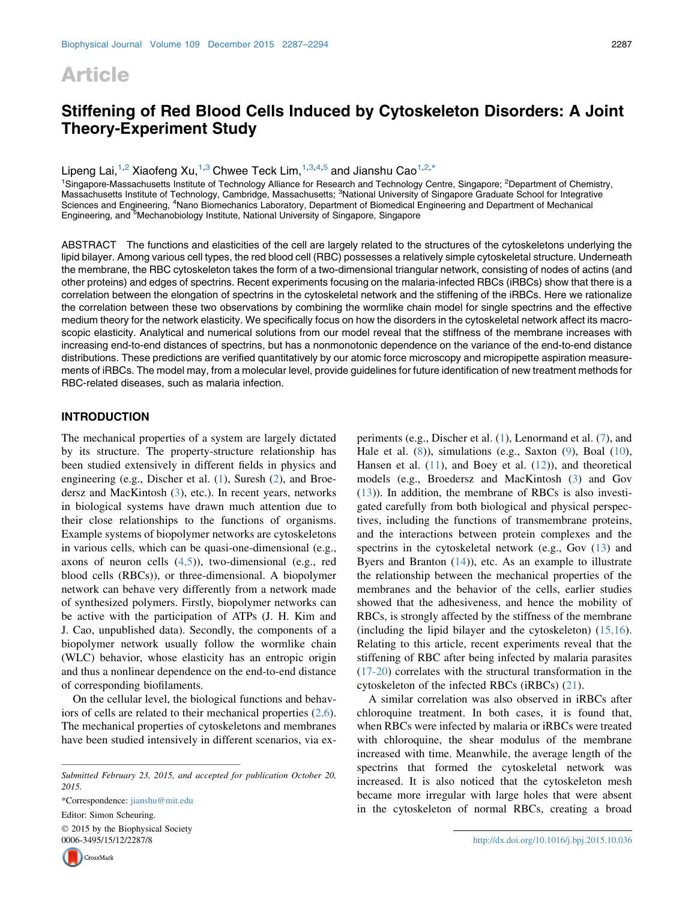# Article

## Stiffening of Red Blood Cells Induced by Cytoskeleton Disorders: A Joint Theory-Experiment Study

Lipeng Lai,<sup>1,2</sup> Xiaofeng Xu,<sup>1,3</sup> Chwee Teck Lim,<sup>1,3,4,5</sup> and Jianshu Cao<sup>1,2,\*</sup>

<sup>1</sup>Singapore-Massachusetts Institute of Technology Alliance for Research and Technology Centre, Singapore; <sup>2</sup>Department of Chemistry, Massachusetts Institute of Technology, Cambridge, Massachusetts; <sup>3</sup>National University of Singapore Graduate School for Integrative Sciences and Engineering, <sup>4</sup>Nano Biomechanics Laboratory, Department of Biomedical Engineering and Department of Mechanical Engineering, and <sup>5</sup>Mechanobiology Institute, National University of Singapore, Singapore

ABSTRACT The functions and elasticities of the cell are largely related to the structures of the cytoskeletons underlying the lipid bilayer. Among various cell types, the red blood cell (RBC) possesses a relatively simple cytoskeletal structure. Underneath the membrane, the RBC cytoskeleton takes the form of a two-dimensional triangular network, consisting of nodes of actins (and other proteins) and edges of spectrins. Recent experiments focusing on the malaria-infected RBCs (iRBCs) show that there is a correlation between the elongation of spectrins in the cytoskeletal network and the stiffening of the iRBCs. Here we rationalize the correlation between these two observations by combining the wormlike chain model for single spectrins and the effective medium theory for the network elasticity. We specifically focus on how the disorders in the cytoskeletal network affect its macroscopic elasticity. Analytical and numerical solutions from our model reveal that the stiffness of the membrane increases with increasing end-to-end distances of spectrins, but has a nonmonotonic dependence on the variance of the end-to-end distance distributions. These predictions are verified quantitatively by our atomic force microscopy and micropipette aspiration measurements of iRBCs. The model may, from a molecular level, provide guidelines for future identification of new treatment methods for RBC-related diseases, such as malaria infection.

## INTRODUCTION

The mechanical properties of a system are largely dictated by its structure. The property-structure relationship has been studied extensively in different fields in physics and engineering (e.g., Discher et al. ([1\)](#page-6-0), Suresh ([2\)](#page-6-0), and Broedersz and MacKintosh ([3\)](#page-6-0), etc.). In recent years, networks in biological systems have drawn much attention due to their close relationships to the functions of organisms. Example systems of biopolymer networks are cytoskeletons in various cells, which can be quasi-one-dimensional (e.g., axons of neuron cells [\(4,5\)](#page-6-0)), two-dimensional (e.g., red blood cells (RBCs)), or three-dimensional. A biopolymer network can behave very differently from a network made of synthesized polymers. Firstly, biopolymer networks can be active with the participation of ATPs (J. H. Kim and J. Cao, unpublished data). Secondly, the components of a biopolymer network usually follow the wormlike chain (WLC) behavior, whose elasticity has an entropic origin and thus a nonlinear dependence on the end-to-end distance of corresponding biofilaments.

On the cellular level, the biological functions and behaviors of cells are related to their mechanical properties [\(2,6\)](#page-6-0). The mechanical properties of cytoskeletons and membranes have been studied intensively in different scenarios, via ex-

Submitted February 23, 2015, and accepted for publication October 20, 2015.

\*Correspondence: [jianshu@mit.edu](mailto:jianshu@mit.edu)

Editor: Simon Scheuring. 2015 by the Biophysical Society



periments (e.g., Discher et al. [\(1](#page-6-0)), Lenormand et al. ([7\)](#page-6-0), and Hale et al.  $(8)$  $(8)$ ), simulations (e.g., Saxton  $(9)$  $(9)$ , Boal  $(10)$  $(10)$ , Hansen et al.  $(11)$  $(11)$ , and Boey et al.  $(12)$  $(12)$ ), and theoretical models (e.g., Broedersz and MacKintosh ([3\)](#page-6-0) and Gov ([13\)](#page-7-0)). In addition, the membrane of RBCs is also investigated carefully from both biological and physical perspectives, including the functions of transmembrane proteins, and the interactions between protein complexes and the spectrins in the cytoskeletal network (e.g., Gov [\(13](#page-7-0)) and Byers and Branton  $(14)$  $(14)$ , etc. As an example to illustrate the relationship between the mechanical properties of the membranes and the behavior of the cells, earlier studies showed that the adhesiveness, and hence the mobility of RBCs, is strongly affected by the stiffness of the membrane (including the lipid bilayer and the cytoskeleton) [\(15,16\)](#page-7-0). Relating to this article, recent experiments reveal that the stiffening of RBC after being infected by malaria parasites ([17-20](#page-7-0)) correlates with the structural transformation in the cytoskeleton of the infected RBCs (iRBCs) [\(21](#page-7-0)).

A similar correlation was also observed in iRBCs after chloroquine treatment. In both cases, it is found that, when RBCs were infected by malaria or iRBCs were treated with chloroquine, the shear modulus of the membrane increased with time. Meanwhile, the average length of the spectrins that formed the cytoskeletal network was increased. It is also noticed that the cytoskeleton mesh became more irregular with large holes that were absent in the cytoskeleton of normal RBCs, creating a broad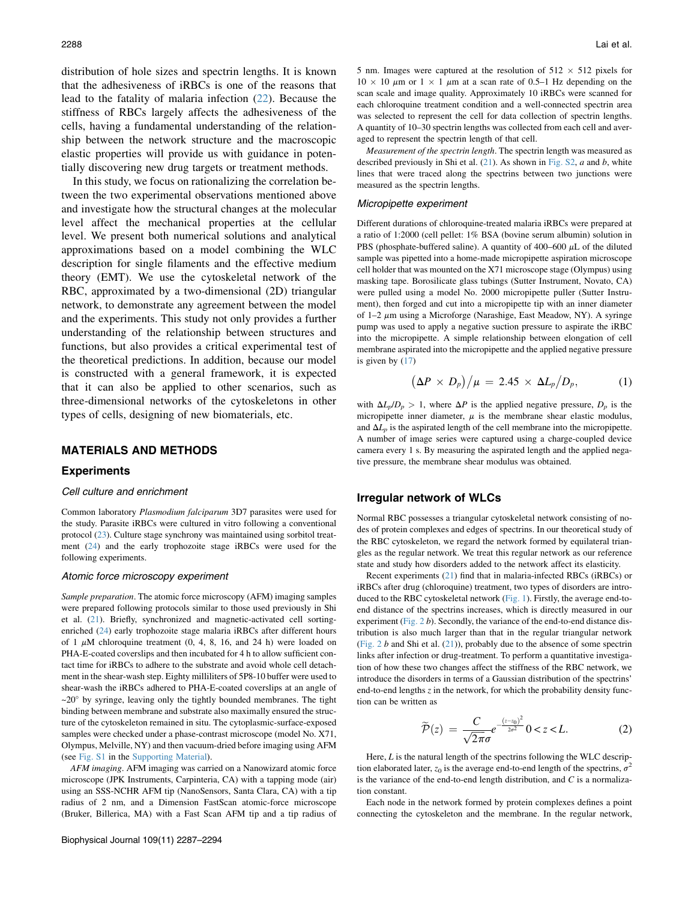distribution of hole sizes and spectrin lengths. It is known that the adhesiveness of iRBCs is one of the reasons that lead to the fatality of malaria infection [\(22](#page-7-0)). Because the stiffness of RBCs largely affects the adhesiveness of the cells, having a fundamental understanding of the relationship between the network structure and the macroscopic elastic properties will provide us with guidance in potentially discovering new drug targets or treatment methods.

In this study, we focus on rationalizing the correlation between the two experimental observations mentioned above and investigate how the structural changes at the molecular level affect the mechanical properties at the cellular level. We present both numerical solutions and analytical approximations based on a model combining the WLC description for single filaments and the effective medium theory (EMT). We use the cytoskeletal network of the RBC, approximated by a two-dimensional (2D) triangular network, to demonstrate any agreement between the model and the experiments. This study not only provides a further understanding of the relationship between structures and functions, but also provides a critical experimental test of the theoretical predictions. In addition, because our model is constructed with a general framework, it is expected that it can also be applied to other scenarios, such as three-dimensional networks of the cytoskeletons in other types of cells, designing of new biomaterials, etc.

## MATERIALS AND METHODS

#### **Experiments**

#### Cell culture and enrichment

Common laboratory Plasmodium falciparum 3D7 parasites were used for the study. Parasite iRBCs were cultured in vitro following a conventional protocol ([23\)](#page-7-0). Culture stage synchrony was maintained using sorbitol treatment ([24\)](#page-7-0) and the early trophozoite stage iRBCs were used for the following experiments.

#### Atomic force microscopy experiment

Sample preparation. The atomic force microscopy (AFM) imaging samples were prepared following protocols similar to those used previously in Shi et al. ([21\)](#page-7-0). Briefly, synchronized and magnetic-activated cell sortingenriched [\(24](#page-7-0)) early trophozoite stage malaria iRBCs after different hours of 1  $\mu$ M chloroquine treatment (0, 4, 8, 16, and 24 h) were loaded on PHA-E-coated coverslips and then incubated for 4 h to allow sufficient contact time for iRBCs to adhere to the substrate and avoid whole cell detachment in the shear-wash step. Eighty milliliters of 5P8-10 buffer were used to shear-wash the iRBCs adhered to PHA-E-coated coverslips at an angle of  $\sim$ 20 $\degree$  by syringe, leaving only the tightly bounded membranes. The tight binding between membrane and substrate also maximally ensured the structure of the cytoskeleton remained in situ. The cytoplasmic-surface-exposed samples were checked under a phase-contrast microscope (model No. X71, Olympus, Melville, NY) and then vacuum-dried before imaging using AFM (see Fig. S1 in the [Supporting Material\)](#page-6-0).

AFM imaging. AFM imaging was carried on a Nanowizard atomic force microscope (JPK Instruments, Carpinteria, CA) with a tapping mode (air) using an SSS-NCHR AFM tip (NanoSensors, Santa Clara, CA) with a tip radius of 2 nm, and a Dimension FastScan atomic-force microscope (Bruker, Billerica, MA) with a Fast Scan AFM tip and a tip radius of 5 nm. Images were captured at the resolution of  $512 \times 512$  pixels for  $10 \times 10 \mu$ m or  $1 \times 1 \mu$ m at a scan rate of 0.5–1 Hz depending on the scan scale and image quality. Approximately 10 iRBCs were scanned for each chloroquine treatment condition and a well-connected spectrin area was selected to represent the cell for data collection of spectrin lengths. A quantity of 10–30 spectrin lengths was collected from each cell and averaged to represent the spectrin length of that cell.

Measurement of the spectrin length. The spectrin length was measured as described previously in Shi et al.  $(21)$  $(21)$ . As shown in Fig. S2, a and b, white lines that were traced along the spectrins between two junctions were measured as the spectrin lengths.

#### Micropipette experiment

Different durations of chloroquine-treated malaria iRBCs were prepared at a ratio of 1:2000 (cell pellet: 1% BSA (bovine serum albumin) solution in PBS (phosphate-buffered saline). A quantity of 400–600  $\mu$ L of the diluted sample was pipetted into a home-made micropipette aspiration microscope cell holder that was mounted on the X71 microscope stage (Olympus) using masking tape. Borosilicate glass tubings (Sutter Instrument, Novato, CA) were pulled using a model No. 2000 micropipette puller (Sutter Instrument), then forged and cut into a micropipette tip with an inner diameter of  $1-2$   $\mu$ m using a Microforge (Narashige, East Meadow, NY). A syringe pump was used to apply a negative suction pressure to aspirate the iRBC into the micropipette. A simple relationship between elongation of cell membrane aspirated into the micropipette and the applied negative pressure is given by [\(17\)](#page-7-0)

$$
(\Delta P \times D_p)/\mu = 2.45 \times \Delta L_p/D_p, \qquad (1)
$$

with  $\Delta L_p/D_p > 1$ , where  $\Delta P$  is the applied negative pressure,  $D_p$  is the micropipette inner diameter,  $\mu$  is the membrane shear elastic modulus, and  $\Delta L_p$  is the aspirated length of the cell membrane into the micropipette. A number of image series were captured using a charge-coupled device camera every 1 s. By measuring the aspirated length and the applied negative pressure, the membrane shear modulus was obtained.

## Irregular network of WLCs

Normal RBC possesses a triangular cytoskeletal network consisting of nodes of protein complexes and edges of spectrins. In our theoretical study of the RBC cytoskeleton, we regard the network formed by equilateral triangles as the regular network. We treat this regular network as our reference state and study how disorders added to the network affect its elasticity.

Recent experiments [\(21\)](#page-7-0) find that in malaria-infected RBCs (iRBCs) or iRBCs after drug (chloroquine) treatment, two types of disorders are introduced to the RBC cytoskeletal network [\(Fig. 1\)](#page-2-0). Firstly, the average end-toend distance of the spectrins increases, which is directly measured in our experiment (Fig.  $2 b$ ). Secondly, the variance of the end-to-end distance distribution is also much larger than that in the regular triangular network (Fig.  $2 b$  and Shi et al. [\(21](#page-7-0))), probably due to the absence of some spectrin links after infection or drug-treatment. To perform a quantitative investigation of how these two changes affect the stiffness of the RBC network, we introduce the disorders in terms of a Gaussian distribution of the spectrins' end-to-end lengths  $\zeta$  in the network, for which the probability density function can be written as

$$
\widetilde{\mathcal{P}}(z) = \frac{C}{\sqrt{2\pi}\sigma} e^{-\frac{(z-z_0)^2}{2\sigma^2}} 0 < z < L. \tag{2}
$$

Here,  $L$  is the natural length of the spectrins following the WLC description elaborated later,  $z_0$  is the average end-to-end length of the spectrins,  $\sigma^2$ is the variance of the end-to-end length distribution, and  $C$  is a normalization constant.

Each node in the network formed by protein complexes defines a point connecting the cytoskeleton and the membrane. In the regular network,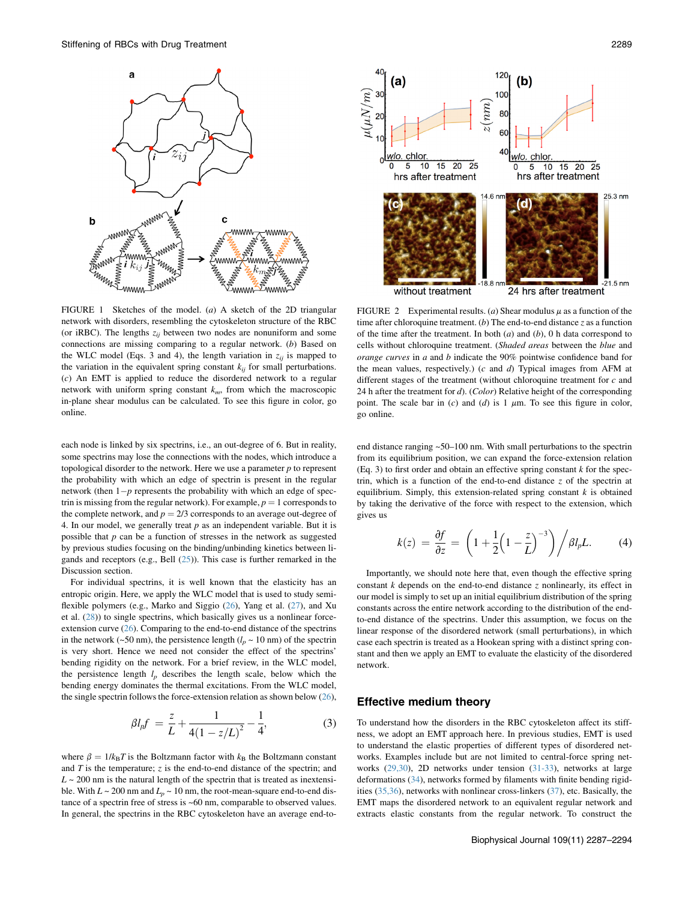<span id="page-2-0"></span>

FIGURE 1 Sketches of the model. (a) A sketch of the 2D triangular network with disorders, resembling the cytoskeleton structure of the RBC (or iRBC). The lengths  $z_{ij}$  between two nodes are nonuniform and some connections are missing comparing to a regular network. (b) Based on the WLC model (Eqs. 3 and 4), the length variation in  $z_{ij}$  is mapped to the variation in the equivalent spring constant  $k_{ij}$  for small perturbations. (c) An EMT is applied to reduce the disordered network to a regular network with uniform spring constant  $k_m$ , from which the macroscopic in-plane shear modulus can be calculated. To see this figure in color, go online.

each node is linked by six spectrins, i.e., an out-degree of 6. But in reality, some spectrins may lose the connections with the nodes, which introduce a topological disorder to the network. Here we use a parameter  $p$  to represent the probability with which an edge of spectrin is present in the regular network (then  $1-p$  represents the probability with which an edge of spectrin is missing from the regular network). For example,  $p = 1$  corresponds to the complete network, and  $p = 2/3$  corresponds to an average out-degree of 4. In our model, we generally treat  $p$  as an independent variable. But it is possible that  $p$  can be a function of stresses in the network as suggested by previous studies focusing on the binding/unbinding kinetics between ligands and receptors (e.g., Bell ([25\)](#page-7-0)). This case is further remarked in the Discussion section.

For individual spectrins, it is well known that the elasticity has an entropic origin. Here, we apply the WLC model that is used to study semiflexible polymers (e.g., Marko and Siggio [\(26](#page-7-0)), Yang et al. [\(27\)](#page-7-0), and Xu et al. ([28\)](#page-7-0)) to single spectrins, which basically gives us a nonlinear forceextension curve ([26\)](#page-7-0). Comparing to the end-to-end distance of the spectrins in the network (~50 nm), the persistence length ( $l_p \sim 10$  nm) of the spectrin is very short. Hence we need not consider the effect of the spectrins' bending rigidity on the network. For a brief review, in the WLC model, the persistence length  $l_p$  describes the length scale, below which the bending energy dominates the thermal excitations. From the WLC model, the single spectrin follows the force-extension relation as shown below ([26\)](#page-7-0),

$$
\beta l_p f = \frac{z}{L} + \frac{1}{4(1 - z/L)^2} - \frac{1}{4},\tag{3}
$$

where  $\beta = 1/k_B T$  is the Boltzmann factor with  $k_B$  the Boltzmann constant and  $T$  is the temperature;  $z$  is the end-to-end distance of the spectrin; and  $L \sim 200$  nm is the natural length of the spectrin that is treated as inextensible. With  $L \sim 200$  nm and  $L_p \sim 10$  nm, the root-mean-square end-to-end distance of a spectrin free of stress is ~60 nm, comparable to observed values. In general, the spectrins in the RBC cytoskeleton have an average end-to-



FIGURE 2 Experimental results. (a) Shear modulus  $\mu$  as a function of the time after chloroquine treatment. (b) The end-to-end distance  $z$  as a function of the time after the treatment. In both  $(a)$  and  $(b)$ , 0 h data correspond to cells without chloroquine treatment. (Shaded areas between the blue and orange curves in a and b indicate the 90% pointwise confidence band for the mean values, respectively.)  $(c \text{ and } d)$  Typical images from AFM at different stages of the treatment (without chloroquine treatment for c and 24 h after the treatment for  $d$ ). (Color) Relative height of the corresponding point. The scale bar in  $(c)$  and  $(d)$  is 1  $\mu$ m. To see this figure in color, go online.

end distance ranging ~50–100 nm. With small perturbations to the spectrin from its equilibrium position, we can expand the force-extension relation (Eq. 3) to first order and obtain an effective spring constant  $k$  for the spectrin, which is a function of the end-to-end distance  $z$  of the spectrin at equilibrium. Simply, this extension-related spring constant  $k$  is obtained by taking the derivative of the force with respect to the extension, which gives us

$$
k(z) = \frac{\partial f}{\partial z} = \left(1 + \frac{1}{2}\left(1 - \frac{z}{L}\right)^{-3}\right) / \beta l_p L. \tag{4}
$$

Importantly, we should note here that, even though the effective spring constant  $k$  depends on the end-to-end distance  $\zeta$  nonlinearly, its effect in our model is simply to set up an initial equilibrium distribution of the spring constants across the entire network according to the distribution of the endto-end distance of the spectrins. Under this assumption, we focus on the linear response of the disordered network (small perturbations), in which case each spectrin is treated as a Hookean spring with a distinct spring constant and then we apply an EMT to evaluate the elasticity of the disordered network.

## Effective medium theory

To understand how the disorders in the RBC cytoskeleton affect its stiffness, we adopt an EMT approach here. In previous studies, EMT is used to understand the elastic properties of different types of disordered networks. Examples include but are not limited to central-force spring networks ([29,30\)](#page-7-0), 2D networks under tension ([31-33](#page-7-0)), networks at large deformations [\(34](#page-7-0)), networks formed by filaments with finite bending rigidities ([35,36](#page-7-0)), networks with nonlinear cross-linkers [\(37](#page-7-0)), etc. Basically, the EMT maps the disordered network to an equivalent regular network and extracts elastic constants from the regular network. To construct the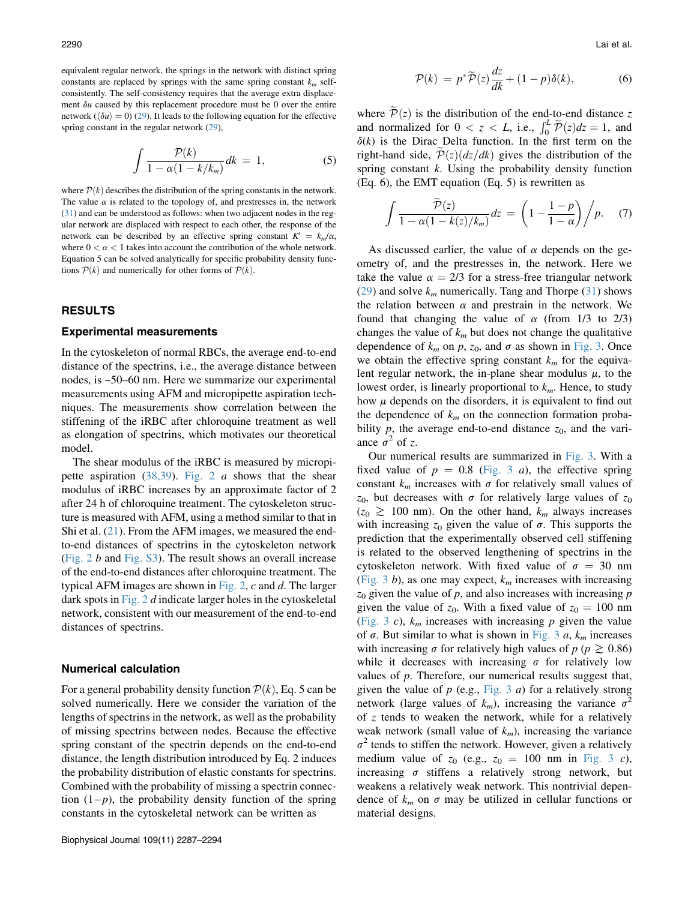equivalent regular network, the springs in the network with distinct spring constants are replaced by springs with the same spring constant  $k_m$  selfconsistently. The self-consistency requires that the average extra displacement  $\delta u$  caused by this replacement procedure must be 0 over the entire network ( $\langle \delta u \rangle = 0$ ) ([29](#page-7-0)). It leads to the following equation for the effective spring constant in the regular network [\(29](#page-7-0)),

$$
\int \frac{\mathcal{P}(k)}{1 - \alpha (1 - k/k_m)} dk = 1, \tag{5}
$$

where  $P(k)$  describes the distribution of the spring constants in the network. The value  $\alpha$  is related to the topology of, and prestresses in, the network [\(31](#page-7-0)) and can be understood as follows: when two adjacent nodes in the regular network are displaced with respect to each other, the response of the network can be described by an effective spring constant  $K' = k_m/\alpha$ , where  $0 < \alpha < 1$  takes into account the contribution of the whole network. Equation 5 can be solved analytically for specific probability density functions  $P(k)$  and numerically for other forms of  $P(k)$ .

## RESULTS

#### Experimental measurements

In the cytoskeleton of normal RBCs, the average end-to-end distance of the spectrins, i.e., the average distance between nodes, is ~50–60 nm. Here we summarize our experimental measurements using AFM and micropipette aspiration techniques. The measurements show correlation between the stiffening of the iRBC after chloroquine treatment as well as elongation of spectrins, which motivates our theoretical model.

The shear modulus of the iRBC is measured by micropipette aspiration  $(38,39)$  $(38,39)$  $(38,39)$ . [Fig. 2](#page-2-0) a shows that the shear modulus of iRBC increases by an approximate factor of 2 after 24 h of chloroquine treatment. The cytoskeleton structure is measured with AFM, using a method similar to that in Shi et al. [\(21](#page-7-0)). From the AFM images, we measured the endto-end distances of spectrins in the cytoskeleton network ([Fig. 2](#page-2-0) b and Fig. S3). The result shows an overall increase of the end-to-end distances after chloroquine treatment. The typical AFM images are shown in [Fig. 2](#page-2-0),  $c$  and  $d$ . The larger dark spots in [Fig. 2](#page-2-0) d indicate larger holes in the cytoskeletal network, consistent with our measurement of the end-to-end distances of spectrins.

### Numerical calculation

For a general probability density function  $P(k)$ , Eq. 5 can be solved numerically. Here we consider the variation of the lengths of spectrins in the network, as well as the probability of missing spectrins between nodes. Because the effective spring constant of the spectrin depends on the end-to-end distance, the length distribution introduced by Eq. 2 induces the probability distribution of elastic constants for spectrins. Combined with the probability of missing a spectrin connection  $(1-p)$ , the probability density function of the spring constants in the cytoskeletal network can be written as

$$
\mathcal{P}(k) = p^* \widetilde{\mathcal{P}}(z) \frac{dz}{dk} + (1 - p)\delta(k), \tag{6}
$$

where  $\mathcal{P}(z)$  is the distribution of the end-to-end distance z and normalized for  $0 < z < L$ , i.e.,  $\int_0^L \widetilde{\mathcal{P}}(z) dz = 1$ , and  $\delta(k)$  is the Dirac Delta function. In the first term on the right-hand side,  $\mathcal{P}(z)(dz/dk)$  gives the distribution of the spring constant  $k$ . Using the probability density function (Eq. 6), the EMT equation (Eq. 5) is rewritten as

$$
\int \frac{\widetilde{\mathcal{P}}(z)}{1 - \alpha (1 - k(z)/k_m)} dz = \left(1 - \frac{1 - p}{1 - \alpha}\right) / p. \tag{7}
$$

As discussed earlier, the value of  $\alpha$  depends on the geometry of, and the prestresses in, the network. Here we take the value  $\alpha = 2/3$  for a stress-free triangular network ([29\)](#page-7-0) and solve  $k_m$  numerically. Tang and Thorpe [\(31](#page-7-0)) shows the relation between  $\alpha$  and prestrain in the network. We found that changing the value of  $\alpha$  (from 1/3 to 2/3) changes the value of  $k_m$  but does not change the qualitative dependence of  $k_m$  on p,  $z_0$ , and  $\sigma$  as shown in [Fig. 3.](#page-4-0) Once we obtain the effective spring constant  $k<sub>m</sub>$  for the equivalent regular network, the in-plane shear modulus  $\mu$ , to the lowest order, is linearly proportional to  $k_m$ . Hence, to study how  $\mu$  depends on the disorders, it is equivalent to find out the dependence of  $k_m$  on the connection formation probability p, the average end-to-end distance  $z_0$ , and the variance  $\sigma^2$  of z.

Our numerical results are summarized in [Fig. 3.](#page-4-0) With a fixed value of  $p = 0.8$  [\(Fig. 3](#page-4-0) a), the effective spring constant  $k_m$  increases with  $\sigma$  for relatively small values of  $z_0$ , but decreases with  $\sigma$  for relatively large values of  $z_0$  $(z_0 \ge 100 \text{ nm})$ . On the other hand,  $k_m$  always increases with increasing  $z_0$  given the value of  $\sigma$ . This supports the prediction that the experimentally observed cell stiffening is related to the observed lengthening of spectrins in the cytoskeleton network. With fixed value of  $\sigma = 30$  nm ([Fig. 3](#page-4-0) b), as one may expect,  $k_m$  increases with increasing  $z_0$  given the value of p, and also increases with increasing p given the value of  $z_0$ . With a fixed value of  $z_0 = 100$  nm ([Fig. 3](#page-4-0) c),  $k_m$  increases with increasing p given the value of  $\sigma$ . But similar to what is shown in [Fig. 3](#page-4-0) a,  $k_m$  increases with increasing  $\sigma$  for relatively high values of  $p$  ( $p \ge 0.86$ ) while it decreases with increasing  $\sigma$  for relatively low values of p. Therefore, our numerical results suggest that, given the value of  $p$  (e.g., [Fig. 3](#page-4-0)  $a$ ) for a relatively strong network (large values of  $k_m$ ), increasing the variance  $\sigma^2$ of z tends to weaken the network, while for a relatively weak network (small value of  $k_m$ ), increasing the variance  $\sigma^2$  tends to stiffen the network. However, given a relatively medium value of  $z_0$  (e.g.,  $z_0 = 100$  nm in [Fig. 3](#page-4-0) c), increasing  $\sigma$  stiffens a relatively strong network, but weakens a relatively weak network. This nontrivial dependence of  $k_m$  on  $\sigma$  may be utilized in cellular functions or material designs.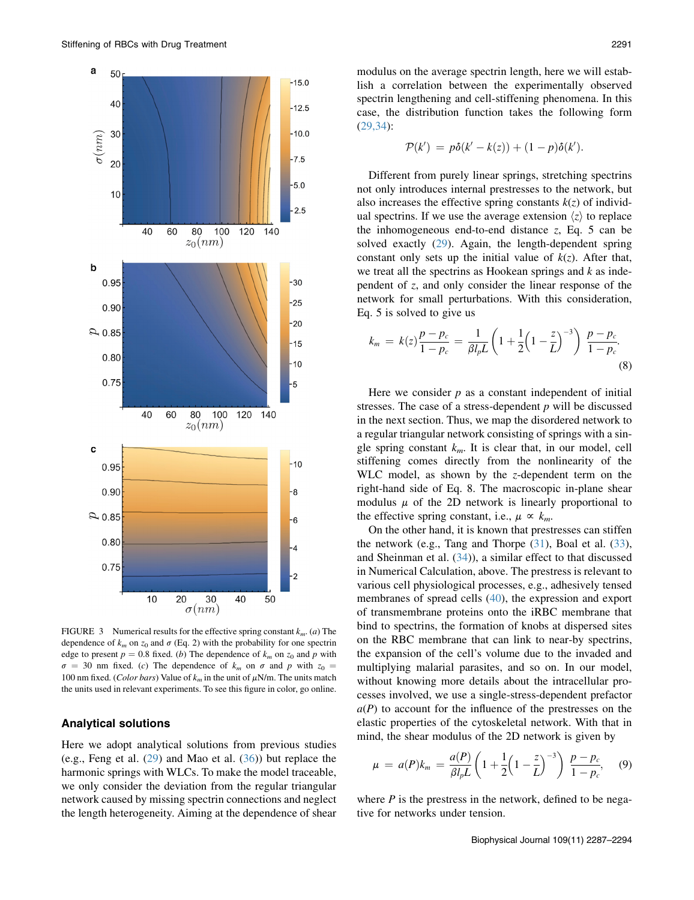<span id="page-4-0"></span>

FIGURE 3 Numerical results for the effective spring constant  $k_m$ . (a) The dependence of  $k_m$  on  $z_0$  and  $\sigma$  (Eq. 2) with the probability for one spectrin edge to present  $p = 0.8$  fixed. (b) The dependence of  $k_m$  on  $z_0$  and p with  $\sigma = 30$  nm fixed. (c) The dependence of  $k_m$  on  $\sigma$  and p with  $z_0 =$ 100 nm fixed. (Color bars) Value of  $k_m$  in the unit of  $\mu$ N/m. The units match the units used in relevant experiments. To see this figure in color, go online.

## Analytical solutions

Here we adopt analytical solutions from previous studies (e.g., Feng et al. ([29\)](#page-7-0) and Mao et al. ([36\)](#page-7-0)) but replace the harmonic springs with WLCs. To make the model traceable, we only consider the deviation from the regular triangular network caused by missing spectrin connections and neglect the length heterogeneity. Aiming at the dependence of shear modulus on the average spectrin length, here we will establish a correlation between the experimentally observed spectrin lengthening and cell-stiffening phenomena. In this case, the distribution function takes the following form ([29,34](#page-7-0)):

$$
\mathcal{P}(k')\,=\,p\delta(k'-k(z))+(1-p)\delta(k').
$$

Different from purely linear springs, stretching spectrins not only introduces internal prestresses to the network, but also increases the effective spring constants  $k(z)$  of individual spectrins. If we use the average extension  $\langle z \rangle$  to replace the inhomogeneous end-to-end distance  $z$ , Eq. 5 can be solved exactly [\(29](#page-7-0)). Again, the length-dependent spring constant only sets up the initial value of  $k(z)$ . After that, we treat all the spectrins as Hookean springs and  $k$  as independent of z, and only consider the linear response of the network for small perturbations. With this consideration, Eq. 5 is solved to give us

$$
k_m = k(z)\frac{p - p_c}{1 - p_c} = \frac{1}{\beta l_p L} \left(1 + \frac{1}{2}\left(1 - \frac{z}{L}\right)^{-3}\right) \frac{p - p_c}{1 - p_c}.
$$
\n(8)

Here we consider  $p$  as a constant independent of initial stresses. The case of a stress-dependent  $p$  will be discussed in the next section. Thus, we map the disordered network to a regular triangular network consisting of springs with a single spring constant  $k_m$ . It is clear that, in our model, cell stiffening comes directly from the nonlinearity of the WLC model, as shown by the z-dependent term on the right-hand side of Eq. 8. The macroscopic in-plane shear modulus  $\mu$  of the 2D network is linearly proportional to the effective spring constant, i.e.,  $\mu \propto k_m$ .

On the other hand, it is known that prestresses can stiffen the network (e.g., Tang and Thorpe  $(31)$  $(31)$ , Boal et al.  $(33)$  $(33)$ , and Sheinman et al. ([34\)](#page-7-0)), a similar effect to that discussed in Numerical Calculation, above. The prestress is relevant to various cell physiological processes, e.g., adhesively tensed membranes of spread cells ([40\)](#page-7-0), the expression and export of transmembrane proteins onto the iRBC membrane that bind to spectrins, the formation of knobs at dispersed sites on the RBC membrane that can link to near-by spectrins, the expansion of the cell's volume due to the invaded and multiplying malarial parasites, and so on. In our model, without knowing more details about the intracellular processes involved, we use a single-stress-dependent prefactor  $a(P)$  to account for the influence of the prestresses on the elastic properties of the cytoskeletal network. With that in mind, the shear modulus of the 2D network is given by

$$
\mu = a(P)k_m = \frac{a(P)}{\beta l_p L} \left( 1 + \frac{1}{2} \left( 1 - \frac{z}{L} \right)^{-3} \right) \frac{p - p_c}{1 - p_c}, \quad (9)
$$

where  $P$  is the prestress in the network, defined to be negative for networks under tension.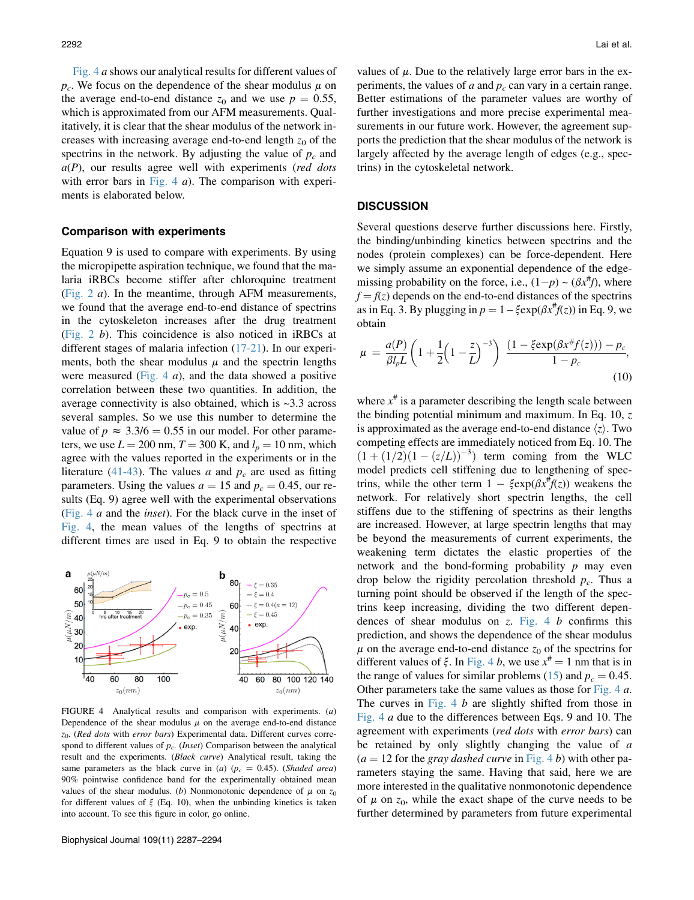Fig. 4 a shows our analytical results for different values of  $p_c$ . We focus on the dependence of the shear modulus  $\mu$  on the average end-to-end distance  $z_0$  and we use  $p = 0.55$ , which is approximated from our AFM measurements. Qualitatively, it is clear that the shear modulus of the network increases with increasing average end-to-end length  $z_0$  of the spectrins in the network. By adjusting the value of  $p_c$  and  $a(P)$ , our results agree well with experiments (red dots with error bars in Fig. 4  $a$ ). The comparison with experiments is elaborated below.

## Comparison with experiments

Equation 9 is used to compare with experiments. By using the micropipette aspiration technique, we found that the malaria iRBCs become stiffer after chloroquine treatment ([Fig. 2](#page-2-0) a). In the meantime, through AFM measurements, we found that the average end-to-end distance of spectrins in the cytoskeleton increases after the drug treatment ([Fig. 2](#page-2-0) b). This coincidence is also noticed in iRBCs at different stages of malaria infection ([17-21\)](#page-7-0). In our experiments, both the shear modulus  $\mu$  and the spectrin lengths were measured (Fig. 4  $a$ ), and the data showed a positive correlation between these two quantities. In addition, the average connectivity is also obtained, which is  $\sim$ 3.3 across several samples. So we use this number to determine the value of  $p \approx 3.3/6 = 0.55$  in our model. For other parameters, we use  $L = 200$  nm,  $T = 300$  K, and  $l_p = 10$  nm, which agree with the values reported in the experiments or in the literature ([41-43](#page-7-0)). The values a and  $p_c$  are used as fitting parameters. Using the values  $a = 15$  and  $p_c = 0.45$ , our results (Eq. 9) agree well with the experimental observations (Fig. 4 a and the inset). For the black curve in the inset of Fig. 4, the mean values of the lengths of spectrins at different times are used in Eq. 9 to obtain the respective



FIGURE 4 Analytical results and comparison with experiments. (a) Dependence of the shear modulus  $\mu$  on the average end-to-end distance  $z_0$ . (*Red dots* with *error bars*) Experimental data. Different curves correspond to different values of  $p_c$ . (*Inset*) Comparison between the analytical result and the experiments. (Black curve) Analytical result, taking the same parameters as the black curve in (a) ( $p_c = 0.45$ ). (Shaded area) 90% pointwise confidence band for the experimentally obtained mean values of the shear modulus. (b) Nonmonotonic dependence of  $\mu$  on  $z_0$ for different values of  $\xi$  (Eq. 10), when the unbinding kinetics is taken into account. To see this figure in color, go online.

values of  $\mu$ . Due to the relatively large error bars in the experiments, the values of  $a$  and  $p_c$  can vary in a certain range. Better estimations of the parameter values are worthy of further investigations and more precise experimental measurements in our future work. However, the agreement supports the prediction that the shear modulus of the network is largely affected by the average length of edges (e.g., spectrins) in the cytoskeletal network.

## **DISCUSSION**

Several questions deserve further discussions here. Firstly, the binding/unbinding kinetics between spectrins and the nodes (protein complexes) can be force-dependent. Here we simply assume an exponential dependence of the edgemissing probability on the force, i.e.,  $(1-p) \sim (\beta x^{\#}f)$ , where  $f = f(z)$  depends on the end-to-end distances of the spectrins as in Eq. 3. By plugging in  $p = 1 - \xi \exp(\beta x^{\#} f(z))$  in Eq. 9, we obtain

$$
\mu = \frac{a(P)}{\beta l_p L} \left( 1 + \frac{1}{2} \left( 1 - \frac{z}{L} \right)^{-3} \right) \frac{\left( 1 - \xi \exp(\beta x^{\#} f(z)) \right) - p_c}{1 - p_c},\tag{10}
$$

where  $x^*$  is a parameter describing the length scale between the binding potential minimum and maximum. In Eq. 10,  $z$ is approximated as the average end-to-end distance  $\langle z \rangle$ . Two competing effects are immediately noticed from Eq. 10. The  $(1+(1/2)(1-(z/L))^{-3})$  term coming from the WLC model predicts cell stiffening due to lengthening of spectrins, while the other term  $1 - \xi \exp(\beta x^{\#}f(z))$  weakens the network. For relatively short spectrin lengths, the cell stiffens due to the stiffening of spectrins as their lengths are increased. However, at large spectrin lengths that may be beyond the measurements of current experiments, the weakening term dictates the elastic properties of the network and the bond-forming probability  $p$  may even drop below the rigidity percolation threshold  $p_c$ . Thus a turning point should be observed if the length of the spectrins keep increasing, dividing the two different dependences of shear modulus on z. Fig. 4  $b$  confirms this prediction, and shows the dependence of the shear modulus  $\mu$  on the average end-to-end distance  $z_0$  of the spectrins for different values of  $\xi$ . In Fig. 4 b, we use  $x^* = 1$  nm that is in the range of values for similar problems ([15\)](#page-7-0) and  $p_c = 0.45$ . Other parameters take the same values as those for Fig. 4 a. The curves in Fig.  $4 b$  are slightly shifted from those in Fig. 4 a due to the differences between Eqs. 9 and 10. The agreement with experiments (red dots with error bars) can be retained by only slightly changing the value of  $a$  $(a = 12$  for the gray dashed curve in Fig. 4 b) with other parameters staying the same. Having that said, here we are more interested in the qualitative nonmonotonic dependence of  $\mu$  on  $z_0$ , while the exact shape of the curve needs to be further determined by parameters from future experimental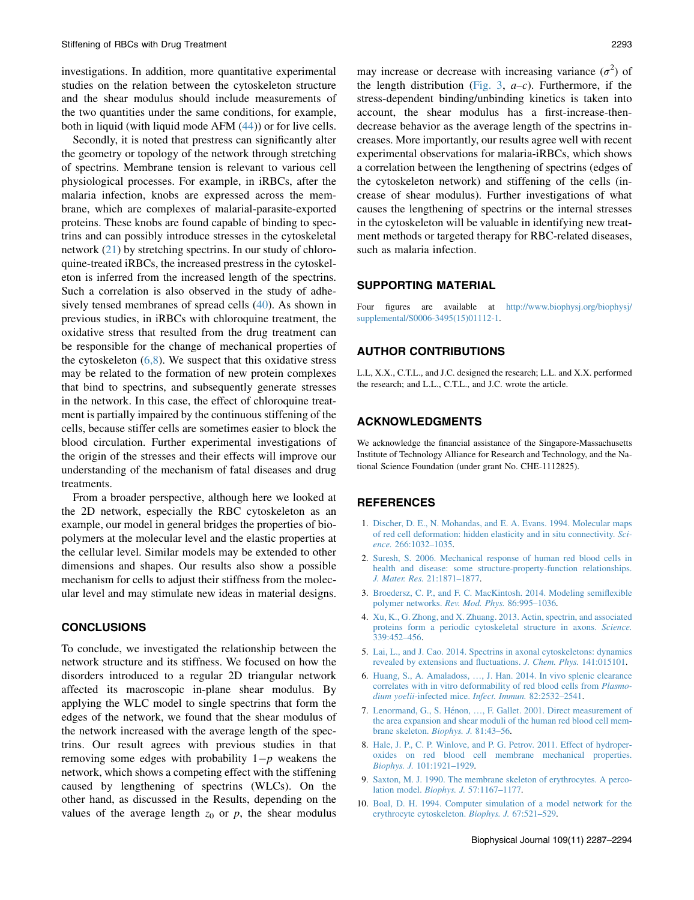<span id="page-6-0"></span>investigations. In addition, more quantitative experimental studies on the relation between the cytoskeleton structure and the shear modulus should include measurements of the two quantities under the same conditions, for example, both in liquid (with liquid mode AFM ([44\)](#page-7-0)) or for live cells.

Secondly, it is noted that prestress can significantly alter the geometry or topology of the network through stretching of spectrins. Membrane tension is relevant to various cell physiological processes. For example, in iRBCs, after the malaria infection, knobs are expressed across the membrane, which are complexes of malarial-parasite-exported proteins. These knobs are found capable of binding to spectrins and can possibly introduce stresses in the cytoskeletal network ([21\)](#page-7-0) by stretching spectrins. In our study of chloroquine-treated iRBCs, the increased prestress in the cytoskeleton is inferred from the increased length of the spectrins. Such a correlation is also observed in the study of adhesively tensed membranes of spread cells [\(40](#page-7-0)). As shown in previous studies, in iRBCs with chloroquine treatment, the oxidative stress that resulted from the drug treatment can be responsible for the change of mechanical properties of the cytoskeleton  $(6,8)$ . We suspect that this oxidative stress may be related to the formation of new protein complexes that bind to spectrins, and subsequently generate stresses in the network. In this case, the effect of chloroquine treatment is partially impaired by the continuous stiffening of the cells, because stiffer cells are sometimes easier to block the blood circulation. Further experimental investigations of the origin of the stresses and their effects will improve our understanding of the mechanism of fatal diseases and drug treatments.

From a broader perspective, although here we looked at the 2D network, especially the RBC cytoskeleton as an example, our model in general bridges the properties of biopolymers at the molecular level and the elastic properties at the cellular level. Similar models may be extended to other dimensions and shapes. Our results also show a possible mechanism for cells to adjust their stiffness from the molecular level and may stimulate new ideas in material designs.

## **CONCLUSIONS**

To conclude, we investigated the relationship between the network structure and its stiffness. We focused on how the disorders introduced to a regular 2D triangular network affected its macroscopic in-plane shear modulus. By applying the WLC model to single spectrins that form the edges of the network, we found that the shear modulus of the network increased with the average length of the spectrins. Our result agrees with previous studies in that removing some edges with probability  $1-p$  weakens the network, which shows a competing effect with the stiffening caused by lengthening of spectrins (WLCs). On the other hand, as discussed in the Results, depending on the values of the average length  $z_0$  or p, the shear modulus

may increase or decrease with increasing variance  $(\sigma^2)$  of the length distribution [\(Fig. 3,](#page-4-0)  $a-c$ ). Furthermore, if the stress-dependent binding/unbinding kinetics is taken into account, the shear modulus has a first-increase-thendecrease behavior as the average length of the spectrins increases. More importantly, our results agree well with recent experimental observations for malaria-iRBCs, which shows a correlation between the lengthening of spectrins (edges of the cytoskeleton network) and stiffening of the cells (increase of shear modulus). Further investigations of what causes the lengthening of spectrins or the internal stresses in the cytoskeleton will be valuable in identifying new treatment methods or targeted therapy for RBC-related diseases, such as malaria infection.

## SUPPORTING MATERIAL

Four figures are available at [http://www.biophysj.org/biophysj/](http://www.biophysj.org/biophysj/supplemental/S0006-3495(15)01112-1) [supplemental/S0006-3495\(15\)01112-1.](http://www.biophysj.org/biophysj/supplemental/S0006-3495(15)01112-1)

## AUTHOR CONTRIBUTIONS

L.L, X.X., C.T.L., and J.C. designed the research; L.L. and X.X. performed the research; and L.L., C.T.L., and J.C. wrote the article.

## ACKNOWLEDGMENTS

We acknowledge the financial assistance of the Singapore-Massachusetts Institute of Technology Alliance for Research and Technology, and the National Science Foundation (under grant No. CHE-1112825).

## REFERENCES

- 1. [Discher, D. E., N. Mohandas, and E. A. Evans. 1994. Molecular maps](http://refhub.elsevier.com/S0006-3495(15)01112-1/sref1) [of red cell deformation: hidden elasticity and in situ connectivity.](http://refhub.elsevier.com/S0006-3495(15)01112-1/sref1) Science. [266:1032–1035](http://refhub.elsevier.com/S0006-3495(15)01112-1/sref1).
- 2. [Suresh, S. 2006. Mechanical response of human red blood cells in](http://refhub.elsevier.com/S0006-3495(15)01112-1/sref2) [health and disease: some structure-property-function relationships.](http://refhub.elsevier.com/S0006-3495(15)01112-1/sref2) J. Mater. Res. [21:1871–1877.](http://refhub.elsevier.com/S0006-3495(15)01112-1/sref2)
- 3. [Broedersz, C. P., and F. C. MacKintosh. 2014. Modeling semiflexible](http://refhub.elsevier.com/S0006-3495(15)01112-1/sref3) [polymer networks.](http://refhub.elsevier.com/S0006-3495(15)01112-1/sref3) Rev. Mod. Phys. 86:995–1036.
- 4. [Xu, K., G. Zhong, and X. Zhuang. 2013. Actin, spectrin, and associated](http://refhub.elsevier.com/S0006-3495(15)01112-1/sref4) [proteins form a periodic cytoskeletal structure in axons.](http://refhub.elsevier.com/S0006-3495(15)01112-1/sref4) Science. [339:452–456](http://refhub.elsevier.com/S0006-3495(15)01112-1/sref4).
- 5. [Lai, L., and J. Cao. 2014. Spectrins in axonal cytoskeletons: dynamics](http://refhub.elsevier.com/S0006-3495(15)01112-1/sref5) [revealed by extensions and fluctuations.](http://refhub.elsevier.com/S0006-3495(15)01112-1/sref5) J. Chem. Phys. 141:015101.
- 6. Huang, S., A. Amaladoss, .[, J. Han. 2014. In vivo splenic clearance](http://refhub.elsevier.com/S0006-3495(15)01112-1/sref6) [correlates with in vitro deformability of red blood cells from](http://refhub.elsevier.com/S0006-3495(15)01112-1/sref6) Plasmodium yoelii[-infected mice.](http://refhub.elsevier.com/S0006-3495(15)01112-1/sref6) Infect. Immun. 82:2532–2541.
- 7. Lenormand, G., S. Hénon, ...[, F. Gallet. 2001. Direct measurement of](http://refhub.elsevier.com/S0006-3495(15)01112-1/sref7) [the area expansion and shear moduli of the human red blood cell mem](http://refhub.elsevier.com/S0006-3495(15)01112-1/sref7)[brane skeleton.](http://refhub.elsevier.com/S0006-3495(15)01112-1/sref7) Biophys. J. 81:43–56.
- 8. [Hale, J. P., C. P. Winlove, and P. G. Petrov. 2011. Effect of hydroper](http://refhub.elsevier.com/S0006-3495(15)01112-1/sref8)[oxides on red blood cell membrane mechanical properties.](http://refhub.elsevier.com/S0006-3495(15)01112-1/sref8) Biophys. J. [101:1921–1929](http://refhub.elsevier.com/S0006-3495(15)01112-1/sref8).
- 9. [Saxton, M. J. 1990. The membrane skeleton of erythrocytes. A perco](http://refhub.elsevier.com/S0006-3495(15)01112-1/sref9)lation model. Biophys. J. [57:1167–1177](http://refhub.elsevier.com/S0006-3495(15)01112-1/sref9).
- 10. [Boal, D. H. 1994. Computer simulation of a model network for the](http://refhub.elsevier.com/S0006-3495(15)01112-1/sref10) [erythrocyte cytoskeleton.](http://refhub.elsevier.com/S0006-3495(15)01112-1/sref10) Biophys. J. 67:521–529.